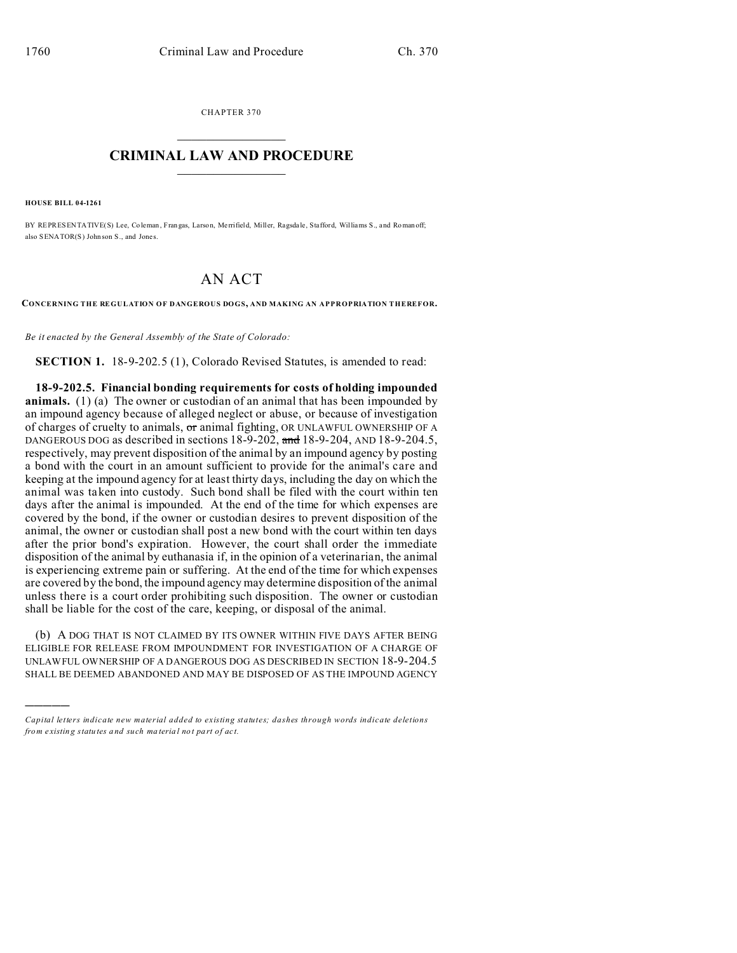CHAPTER 370  $\overline{\phantom{a}}$  , where  $\overline{\phantom{a}}$ 

## **CRIMINAL LAW AND PROCEDURE**  $\_$   $\_$   $\_$   $\_$   $\_$   $\_$   $\_$   $\_$   $\_$

**HOUSE BILL 04-1261**

)))))

BY REPRESENTATIVE(S) Lee, Coleman , Fran gas, Larson, Me rrifield, Miller, Ragsda le, Stafford, Williams S., and Roman off; also SENATOR(S) John son S., and Jones.

## AN ACT

**CONCERNING THE REGULATION OF DANGEROUS DOGS, AND MAKING AN APPROPRIATION THEREFOR.**

*Be it enacted by the General Assembly of the State of Colorado:*

**SECTION 1.** 18-9-202.5 (1), Colorado Revised Statutes, is amended to read:

**18-9-202.5. Financial bonding requirements for costs of holding impounded animals.** (1) (a) The owner or custodian of an animal that has been impounded by an impound agency because of alleged neglect or abuse, or because of investigation of charges of cruelty to animals, or animal fighting, OR UNLAWFUL OWNERSHIP OF A DANGEROUS DOG as described in sections 18-9-202, and 18-9-204, AND 18-9-204.5, respectively, may prevent disposition of the animal by an impound agency by posting a bond with the court in an amount sufficient to provide for the animal's care and keeping at the impound agency for at least thirty days, including the day on which the animal was taken into custody. Such bond shall be filed with the court within ten days after the animal is impounded. At the end of the time for which expenses are covered by the bond, if the owner or custodian desires to prevent disposition of the animal, the owner or custodian shall post a new bond with the court within ten days after the prior bond's expiration. However, the court shall order the immediate disposition of the animal by euthanasia if, in the opinion of a veterinarian, the animal is experiencing extreme pain or suffering. At the end of the time for which expenses are covered by the bond, the impound agency may determine disposition of the animal unless there is a court order prohibiting such disposition. The owner or custodian shall be liable for the cost of the care, keeping, or disposal of the animal.

(b) A DOG THAT IS NOT CLAIMED BY ITS OWNER WITHIN FIVE DAYS AFTER BEING ELIGIBLE FOR RELEASE FROM IMPOUNDMENT FOR INVESTIGATION OF A CHARGE OF UNLAWFUL OWNERSHIP OF A DANGEROUS DOG AS DESCRIBED IN SECTION 18-9-204.5 SHALL BE DEEMED ABANDONED AND MAY BE DISPOSED OF AS THE IMPOUND AGENCY

*Capital letters indicate new material added to existing statutes; dashes through words indicate deletions from e xistin g statu tes a nd such ma teria l no t pa rt of ac t.*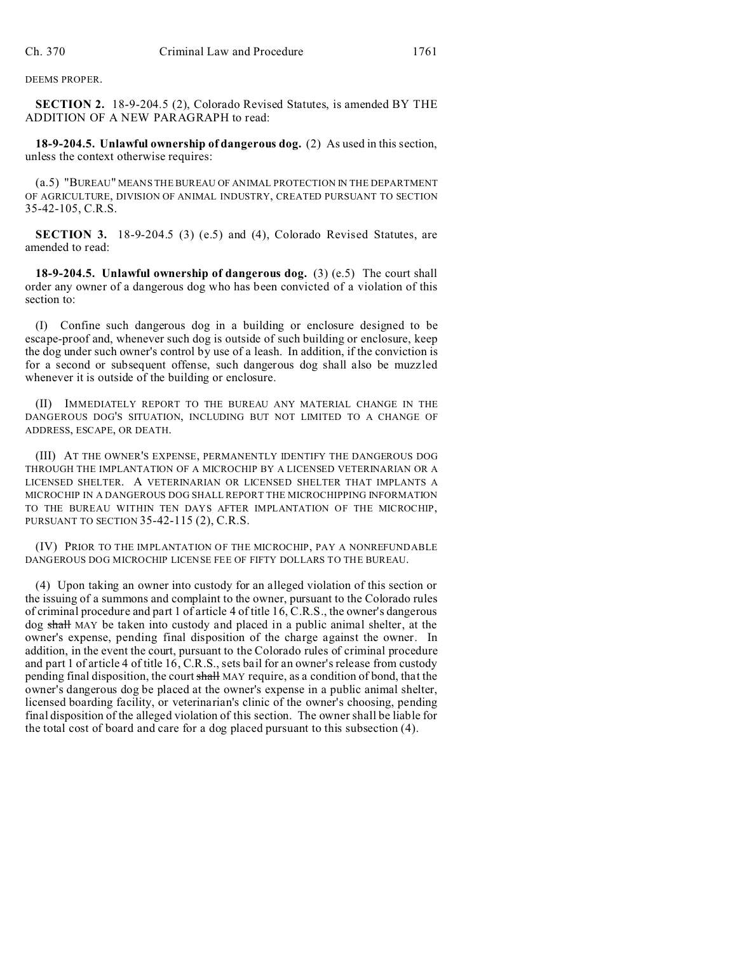DEEMS PROPER.

**SECTION 2.** 18-9-204.5 (2), Colorado Revised Statutes, is amended BY THE ADDITION OF A NEW PARAGRAPH to read:

**18-9-204.5. Unlawful ownership of dangerous dog.** (2) As used in this section, unless the context otherwise requires:

(a.5) "BUREAU" MEANS THE BUREAU OF ANIMAL PROTECTION IN THE DEPARTMENT OF AGRICULTURE, DIVISION OF ANIMAL INDUSTRY, CREATED PURSUANT TO SECTION 35-42-105, C.R.S.

**SECTION 3.** 18-9-204.5 (3) (e.5) and (4), Colorado Revised Statutes, are amended to read:

**18-9-204.5. Unlawful ownership of dangerous dog.** (3) (e.5) The court shall order any owner of a dangerous dog who has been convicted of a violation of this section to:

(I) Confine such dangerous dog in a building or enclosure designed to be escape-proof and, whenever such dog is outside of such building or enclosure, keep the dog under such owner's control by use of a leash. In addition, if the conviction is for a second or subsequent offense, such dangerous dog shall also be muzzled whenever it is outside of the building or enclosure.

(II) IMMEDIATELY REPORT TO THE BUREAU ANY MATERIAL CHANGE IN THE DANGEROUS DOG'S SITUATION, INCLUDING BUT NOT LIMITED TO A CHANGE OF ADDRESS, ESCAPE, OR DEATH.

(III) AT THE OWNER'S EXPENSE, PERMANENTLY IDENTIFY THE DANGEROUS DOG THROUGH THE IMPLANTATION OF A MICROCHIP BY A LICENSED VETERINARIAN OR A LICENSED SHELTER. A VETERINARIAN OR LICENSED SHELTER THAT IMPLANTS A MICROCHIP IN A DANGEROUS DOG SHALL REPORT THE MICROCHIPPING INFORMATION TO THE BUREAU WITHIN TEN DAYS AFTER IMPLANTATION OF THE MICROCHIP, PURSUANT TO SECTION 35-42-115 (2), C.R.S.

(IV) PRIOR TO THE IMPLANTATION OF THE MICROCHIP, PAY A NONREFUNDABLE DANGEROUS DOG MICROCHIP LICENSE FEE OF FIFTY DOLLARS TO THE BUREAU.

(4) Upon taking an owner into custody for an alleged violation of this section or the issuing of a summons and complaint to the owner, pursuant to the Colorado rules of criminal procedure and part 1 of article 4 of title 16, C.R.S., the owner's dangerous dog shall MAY be taken into custody and placed in a public animal shelter, at the owner's expense, pending final disposition of the charge against the owner. In addition, in the event the court, pursuant to the Colorado rules of criminal procedure and part 1 of article 4 of title 16, C.R.S., sets bail for an owner's release from custody pending final disposition, the court shall MAY require, as a condition of bond, that the owner's dangerous dog be placed at the owner's expense in a public animal shelter, licensed boarding facility, or veterinarian's clinic of the owner's choosing, pending final disposition of the alleged violation of this section. The owner shall be liable for the total cost of board and care for a dog placed pursuant to this subsection (4).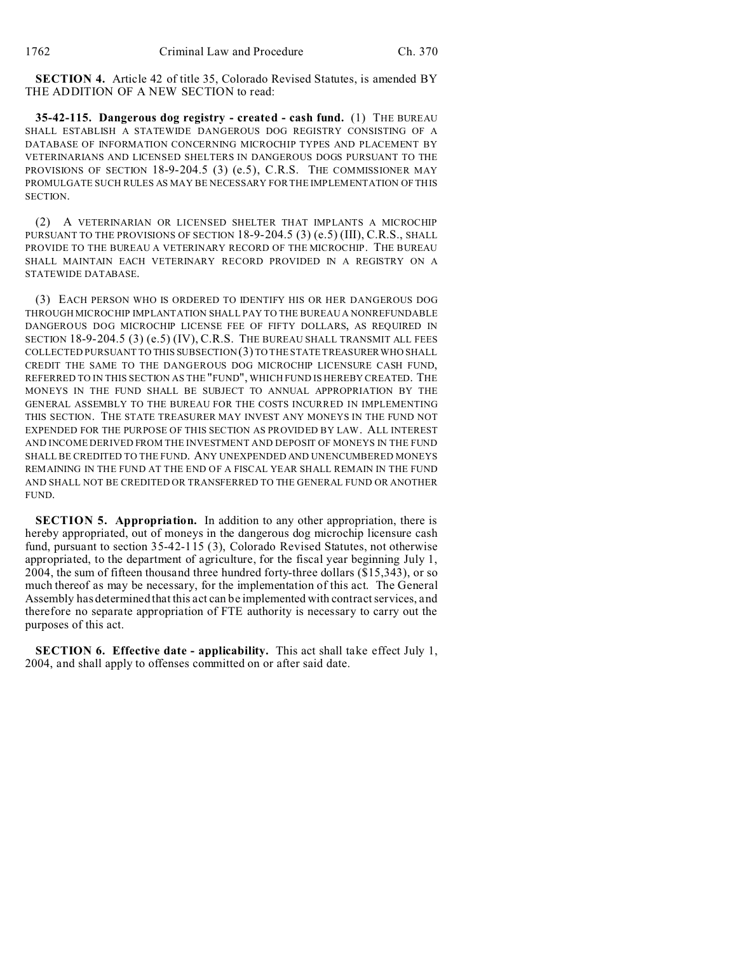**SECTION 4.** Article 42 of title 35, Colorado Revised Statutes, is amended BY THE ADDITION OF A NEW SECTION to read:

**35-42-115. Dangerous dog registry - created - cash fund.** (1) THE BUREAU SHALL ESTABLISH A STATEWIDE DANGEROUS DOG REGISTRY CONSISTING OF A DATABASE OF INFORMATION CONCERNING MICROCHIP TYPES AND PLACEMENT BY VETERINARIANS AND LICENSED SHELTERS IN DANGEROUS DOGS PURSUANT TO THE PROVISIONS OF SECTION 18-9-204.5 (3) (e.5), C.R.S. THE COMMISSIONER MAY PROMULGATE SUCH RULES AS MAY BE NECESSARY FOR THE IMPLEMENTATION OF THIS SECTION.

(2) A VETERINARIAN OR LICENSED SHELTER THAT IMPLANTS A MICROCHIP PURSUANT TO THE PROVISIONS OF SECTION 18-9-204.5 (3) (e.5) (III), C.R.S., SHALL PROVIDE TO THE BUREAU A VETERINARY RECORD OF THE MICROCHIP. THE BUREAU SHALL MAINTAIN EACH VETERINARY RECORD PROVIDED IN A REGISTRY ON A STATEWIDE DATABASE.

(3) EACH PERSON WHO IS ORDERED TO IDENTIFY HIS OR HER DANGEROUS DOG THROUGH MICROCHIP IMPLANTATION SHALL PAY TO THE BUREAU A NONREFUNDABLE DANGEROUS DOG MICROCHIP LICENSE FEE OF FIFTY DOLLARS, AS REQUIRED IN SECTION 18-9-204.5 (3) (e.5) (IV), C.R.S. THE BUREAU SHALL TRANSMIT ALL FEES COLLECTED PURSUANT TO THIS SUBSECTION (3) TO THE STATE TREASURER WHO SHALL CREDIT THE SAME TO THE DANGEROUS DOG MICROCHIP LICENSURE CASH FUND, REFERRED TO IN THIS SECTION AS THE "FUND", WHICH FUND IS HEREBY CREATED. THE MONEYS IN THE FUND SHALL BE SUBJECT TO ANNUAL APPROPRIATION BY THE GENERAL ASSEMBLY TO THE BUREAU FOR THE COSTS INCURRED IN IMPLEMENTING THIS SECTION. THE STATE TREASURER MAY INVEST ANY MONEYS IN THE FUND NOT EXPENDED FOR THE PURPOSE OF THIS SECTION AS PROVIDED BY LAW. ALL INTEREST AND INCOME DERIVED FROM THE INVESTMENT AND DEPOSIT OF MONEYS IN THE FUND SHALL BE CREDITED TO THE FUND. ANY UNEXPENDED AND UNENCUMBERED MONEYS REMAINING IN THE FUND AT THE END OF A FISCAL YEAR SHALL REMAIN IN THE FUND AND SHALL NOT BE CREDITED OR TRANSFERRED TO THE GENERAL FUND OR ANOTHER FUND.

**SECTION 5. Appropriation.** In addition to any other appropriation, there is hereby appropriated, out of moneys in the dangerous dog microchip licensure cash fund, pursuant to section 35-42-115 (3), Colorado Revised Statutes, not otherwise appropriated, to the department of agriculture, for the fiscal year beginning July 1, 2004, the sum of fifteen thousand three hundred forty-three dollars (\$15,343), or so much thereof as may be necessary, for the implementation of this act. The General Assembly has determined that this act can be implemented with contract services, and therefore no separate appropriation of FTE authority is necessary to carry out the purposes of this act.

**SECTION 6. Effective date - applicability.** This act shall take effect July 1, 2004, and shall apply to offenses committed on or after said date.